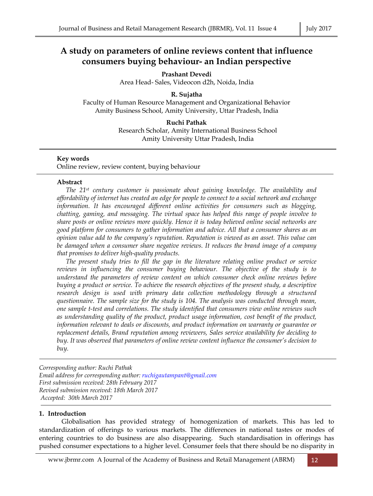# **A study on parameters of online reviews content that influence consumers buying behaviour- an Indian perspective**

**Prashant Devedi**  Area Head- Sales, Videocon d2h, Noida, India

## **R. Sujatha**

Faculty of Human Resource Management and Organizational Behavior Amity Business School, Amity University, Uttar Pradesh, India

## **Ruchi Pathak**

Research Scholar, Amity International Business School Amity University Uttar Pradesh, India

## **Key words**

Online review, review content, buying behaviour

## **Abstract**

*The 21st century customer is passionate about gaining knowledge. The availability and affordability of internet has created an edge for people to connect to a social network and exchange information. It has encouraged different online activities for consumers such as blogging, chatting, gaming, and messaging. The virtual space has helped this range of people involve to share posts or online reviews more quickly. Hence it is today believed online social networks are good platform for consumers to gather information and advice. All that a consumer shares as an opinion value add to the company's reputation. Reputation is viewed as an asset. This value can be damaged when a consumer share negative reviews. It reduces the brand image of a company that promises to deliver high-quality products.* 

*The present study tries to fill the gap in the literature relating online product or service reviews in influencing the consumer buying behaviour. The objective of the study is to understand the parameters of review content on which consumer check online reviews before buying a product or service. To achieve the research objectives of the present study, a descriptive research design is used with primary data collection methodology through a structured questionnaire. The sample size for the study is 104. The analysis was conducted through mean, one sample t-test and correlations. The study identified that consumers view online reviews such as understanding quality of the product, product usage information, cost benefit of the product, information relevant to deals or discounts, and product information on warranty or guarantee or replacement details, Brand reputation among reviewers, Sales service availability for deciding to buy. It was observed that parameters of online review content influence the consumer's decision to buy.* 

*Corresponding author: Ruchi Pathak Email address for corresponding author: ruchigautampant@gmail.com First submission received: 28th February 2017 Revised submission received: 18th March 2017 Accepted: 30th March 2017* 

## **1. Introduction**

 Globalisation has provided strategy of homogenization of markets. This has led to standardization of offerings to various markets. The differences in national tastes or modes of entering countries to do business are also disappearing. Such standardisation in offerings has pushed consumer expectations to a higher level. Consumer feels that there should be no disparity in

www.jbrmr.com A Journal of the Academy of Business and Retail Management (ABRM) 12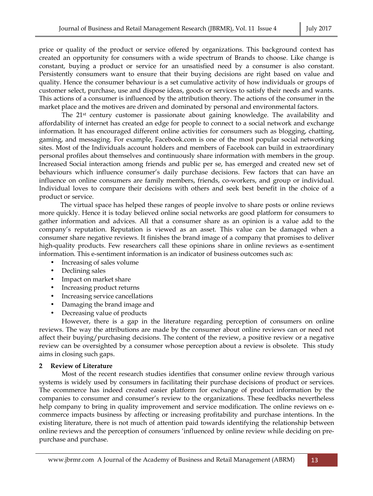price or quality of the product or service offered by organizations. This background context has created an opportunity for consumers with a wide spectrum of Brands to choose. Like change is constant, buying a product or service for an unsatisfied need by a consumer is also constant. Persistently consumers want to ensure that their buying decisions are right based on value and quality. Hence the consumer behaviour is a set cumulative activity of how individuals or groups of customer select, purchase, use and dispose ideas, goods or services to satisfy their needs and wants. This actions of a consumer is influenced by the attribution theory. The actions of the consumer in the market place and the motives are driven and dominated by personal and environmental factors.

 The 21st century customer is passionate about gaining knowledge. The availability and affordability of internet has created an edge for people to connect to a social network and exchange information. It has encouraged different online activities for consumers such as blogging, chatting, gaming, and messaging. For example, Facebook.com is one of the most popular social networking sites. Most of the Individuals account holders and members of Facebook can build in extraordinary personal profiles about themselves and continuously share information with members in the group. Increased Social interaction among friends and public per se, has emerged and created new set of behaviours which influence consumer's daily purchase decisions. Few factors that can have an influence on online consumers are family members, friends, co-workers, and group or individual. Individual loves to compare their decisions with others and seek best benefit in the choice of a product or service.

 The virtual space has helped these ranges of people involve to share posts or online reviews more quickly. Hence it is today believed online social networks are good platform for consumers to gather information and advices. All that a consumer share as an opinion is a value add to the company's reputation. Reputation is viewed as an asset. This value can be damaged when a consumer share negative reviews. It finishes the brand image of a company that promises to deliver high-quality products. Few researchers call these opinions share in online reviews as e-sentiment information. This e-sentiment information is an indicator of business outcomes such as:

- Increasing of sales volume
- Declining sales
- Impact on market share
- Increasing product returns
- Increasing service cancellations
- Damaging the brand image and
- Decreasing value of products

 However, there is a gap in the literature regarding perception of consumers on online reviews. The way the attributions are made by the consumer about online reviews can or need not affect their buying/purchasing decisions. The content of the review, a positive review or a negative review can be oversighted by a consumer whose perception about a review is obsolete. This study aims in closing such gaps.

## **2 Review of Literature**

 Most of the recent research studies identifies that consumer online review through various systems is widely used by consumers in facilitating their purchase decisions of product or services. The ecommerce has indeed created easier platform for exchange of product information by the companies to consumer and consumer's review to the organizations. These feedbacks nevertheless help company to bring in quality improvement and service modification. The online reviews on ecommerce impacts business by affecting or increasing profitability and purchase intentions. In the existing literature, there is not much of attention paid towards identifying the relationship between online reviews and the perception of consumers 'influenced by online review while deciding on prepurchase and purchase.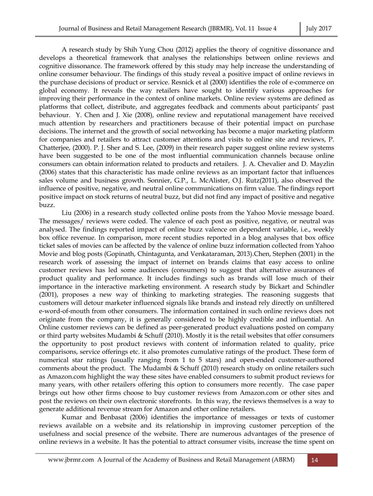A research study by Shih Yung Chou (2012) applies the theory of cognitive dissonance and develops a theoretical framework that analyses the relationships between online reviews and cognitive dissonance. The framework offered by this study may help increase the understanding of online consumer behaviour. The findings of this study reveal a positive impact of online reviews in the purchase decisions of product or service. Resnick et al (2000) identifies the role of e-commerce on global economy. It reveals the way retailers have sought to identify various approaches for improving their performance in the context of online markets. Online review systems are defined as platforms that collect, distribute, and aggregates feedback and comments about participants' past behaviour. Y. Chen and J. Xie (2008), online review and reputational management have received much attention by researchers and practitioners because of their potential impact on purchase decisions. The internet and the growth of social networking has become a major marketing platform for companies and retailers to attract customer attentions and visits to online site and reviews, P. Chatterjee, (2000). P. J. Sher and S. Lee, (2009) in their research paper suggest online review systems have been suggested to be one of the most influential communication channels because online consumers can obtain information related to products and retailers. J. A. Chevalier and D. Mayzlin (2006) states that this characteristic has made online reviews as an important factor that influences sales volume and business growth. Sonnier, G.P., L. McAlister, O.J. Rutz(2011), also observed the influence of positive, negative, and neutral online communications on firm value. The findings report positive impact on stock returns of neutral buzz, but did not find any impact of positive and negative buzz.

 Liu (2006) in a research study collected online posts from the Yahoo Movie message board. The messages/ reviews were coded. The valence of each post as positive, negative, or neutral was analysed. The findings reported impact of online buzz valence on dependent variable, i.e., weekly box office revenue. In comparison, more recent studies reported in a blog analyses that box office ticket sales of movies can be affected by the valence of online buzz information collected from Yahoo Movie and blog posts (Gopinath, Chintagunta, and Venkataraman, 2013).Chen, Stephen (2001) in the research work of assessing the impact of internet on brands claims that easy access to online customer reviews has led some audiences (consumers) to suggest that alternative assurances of product quality and performance. It includes findings such as brands will lose much of their importance in the interactive marketing environment. A research study by Bickart and Schindler (2001), proposes a new way of thinking to marketing strategies. The reasoning suggests that customers will detour marketer influenced signals like brands and instead rely directly on unfiltered e-word-of-mouth from other consumers. The information contained in such online reviews does not originate from the company, it is generally considered to be highly credible and influential. An Online customer reviews can be defined as peer-generated product evaluations posted on company or third party websites Mudambi & Schuff (2010). Mostly it is the retail websites that offer consumers the opportunity to post product reviews with content of information related to quality, price comparisons, service offerings etc. it also promotes cumulative ratings of the product. These form of numerical star ratings (usually ranging from 1 to 5 stars) and open-ended customer-authored comments about the product. The Mudambi & Schuff (2010) research study on online retailers such as Amazon.com highlight the way these sites have enabled consumers to submit product reviews for many years, with other retailers offering this option to consumers more recently. The case paper brings out how other firms choose to buy customer reviews from Amazon.com or other sites and post the reviews on their own electronic storefronts. In this way, the reviews themselves is a way to generate additional revenue stream for Amazon and other online retailers.

 Kumar and Benbasat (2006) identifies the importance of messages or texts of customer reviews available on a website and its relationship in improving customer perception of the usefulness and social presence of the website. There are numerous advantages of the presence of online reviews in a website. It has the potential to attract consumer visits, increase the time spent on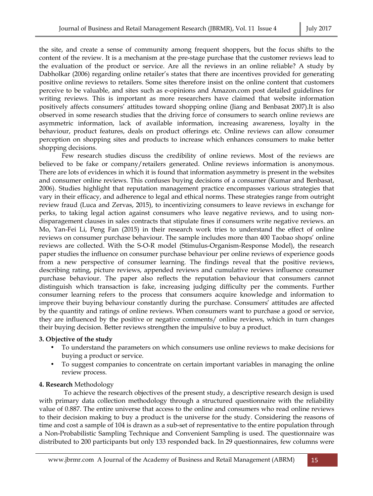the site, and create a sense of community among frequent shoppers, but the focus shifts to the content of the review. It is a mechanism at the pre-stage purchase that the customer reviews lead to the evaluation of the product or service. Are all the reviews in an online reliable? A study by Dabholkar (2006) regarding online retailer's states that there are incentives provided for generating positive online reviews to retailers. Some sites therefore insist on the online content that customers perceive to be valuable, and sites such as e-opinions and Amazon.com post detailed guidelines for writing reviews. This is important as more researchers have claimed that website information positively affects consumers' attitudes toward shopping online (Jiang and Benbasat 2007).It is also observed in some research studies that the driving force of consumers to search online reviews are asymmetric information, lack of available information, increasing awareness, loyalty in the behaviour, product features, deals on product offerings etc. Online reviews can allow consumer perception on shopping sites and products to increase which enhances consumers to make better shopping decisions.

 Few research studies discuss the credibility of online reviews. Most of the reviews are believed to be fake or company/retailers generated. Online reviews information is anonymous. There are lots of evidences in which it is found that information asymmetry is present in the websites and consumer online reviews. This confuses buying decisions of a consumer (Kumar and Benbasat, 2006). Studies highlight that reputation management practice encompasses various strategies that vary in their efficacy, and adherence to legal and ethical norms. These strategies range from outright review fraud (Luca and Zervas, 2015), to incentivizing consumers to leave reviews in exchange for perks, to taking legal action against consumers who leave negative reviews, and to using nondisparagement clauses in sales contracts that stipulate fines if consumers write negative reviews. an Mo, Yan-Fei Li, Peng Fan (2015) in their research work tries to understand the effect of online reviews on consumer purchase behaviour. The sample includes more than 400 Taobao shops' online reviews are collected. With the S-O-R model (Stimulus-Organism-Response Model), the research paper studies the influence on consumer purchase behaviour per online reviews of experience goods from a new perspective of consumer learning. The findings reveal that the positive reviews, describing rating, picture reviews, appended reviews and cumulative reviews influence consumer purchase behaviour. The paper also reflects the reputation behaviour that consumers cannot distinguish which transaction is fake, increasing judging difficulty per the comments. Further consumer learning refers to the process that consumers acquire knowledge and information to improve their buying behaviour constantly during the purchase. Consumers' attitudes are affected by the quantity and ratings of online reviews. When consumers want to purchase a good or service, they are influenced by the positive or negative comments/ online reviews, which in turn changes their buying decision. Better reviews strengthen the impulsive to buy a product.

#### **3. Objective of the study**

- To understand the parameters on which consumers use online reviews to make decisions for buying a product or service.
- To suggest companies to concentrate on certain important variables in managing the online review process.

#### **4. Research** Methodology

 To achieve the research objectives of the present study, a descriptive research design is used with primary data collection methodology through a structured questionnaire with the reliability value of 0.887. The entire universe that access to the online and consumers who read online reviews to their decision making to buy a product is the universe for the study. Considering the reasons of time and cost a sample of 104 is drawn as a sub-set of representative to the entire population through a Non-Probabilistic Sampling Technique and Convenient Sampling is used. The questionnaire was distributed to 200 participants but only 133 responded back. In 29 questionnaires, few columns were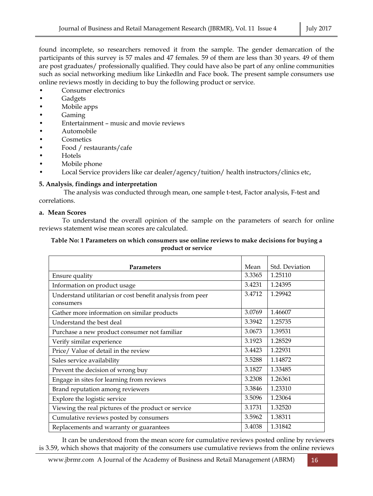found incomplete, so researchers removed it from the sample. The gender demarcation of the participants of this survey is 57 males and 47 females. 59 of them are less than 30 years. 49 of them are post graduates/ professionally qualified. They could have also be part of any online communities such as social networking medium like LinkedIn and Face book. The present sample consumers use online reviews mostly in deciding to buy the following product or service.

- Consumer electronics
- Gadgets
- Mobile apps
- Gaming
- Entertainment music and movie reviews
- Automobile
- **Cosmetics**
- Food / restaurants/cafe
- Hotels
- Mobile phone
- Local Service providers like car dealer/agency/tuition/ health instructors/clinics etc,

## **5. Analysis**, **findings and interpretation**

 The analysis was conducted through mean, one sample t-test, Factor analysis, F-test and correlations.

## **a. Mean Scores**

 To understand the overall opinion of the sample on the parameters of search for online reviews statement wise mean scores are calculated.

#### **Table No: 1 Parameters on which consumers use online reviews to make decisions for buying a product or service**

| <b>Parameters</b>                                         | Mean   | Std. Deviation |
|-----------------------------------------------------------|--------|----------------|
| Ensure quality                                            | 3.3365 | 1.25110        |
| Information on product usage                              | 3.4231 | 1.24395        |
| Understand utilitarian or cost benefit analysis from peer | 3.4712 | 1.29942        |
| consumers                                                 |        |                |
| Gather more information on similar products               | 3.0769 | 1.46607        |
| Understand the best deal                                  | 3.3942 | 1.25735        |
| Purchase a new product consumer not familiar              | 3.0673 | 1.39531        |
| Verify similar experience                                 | 3.1923 | 1.28529        |
| Price/ Value of detail in the review                      | 3.4423 | 1.22931        |
| Sales service availability                                | 3.5288 | 1.14872        |
| Prevent the decision of wrong buy                         | 3.1827 | 1.33485        |
| Engage in sites for learning from reviews                 | 3.2308 | 1.26361        |
| Brand reputation among reviewers                          | 3.3846 | 1.23310        |
| Explore the logistic service                              | 3.5096 | 1.23064        |
| Viewing the real pictures of the product or service       | 3.1731 | 1.32520        |
| Cumulative reviews posted by consumers                    | 3.5962 | 1.38311        |
| Replacements and warranty or guarantees                   | 3.4038 | 1.31842        |

 It can be understood from the mean score for cumulative reviews posted online by reviewers is 3.59, which shows that majority of the consumers use cumulative reviews from the online reviews

www.jbrmr.com A Journal of the Academy of Business and Retail Management (ABRM) 16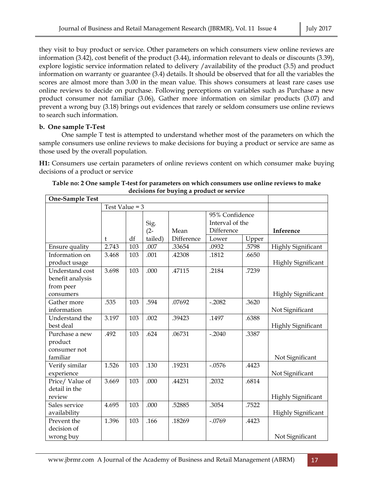they visit to buy product or service. Other parameters on which consumers view online reviews are information (3.42), cost benefit of the product (3.44), information relevant to deals or discounts (3.39), explore logistic service information related to delivery /availability of the product (3.5) and product information on warranty or guarantee (3.4) details. It should be observed that for all the variables the scores are almost more than 3.00 in the mean value. This shows consumers at least rare cases use online reviews to decide on purchase. Following perceptions on variables such as Purchase a new product consumer not familiar (3.06), Gather more information on similar products (3.07) and prevent a wrong buy (3.18) brings out evidences that rarely or seldom consumers use online reviews to search such information.

# **b. One sample T-Test**

 One sample T test is attempted to understand whether most of the parameters on which the sample consumers use online reviews to make decisions for buying a product or service are same as those used by the overall population.

**H1:** Consumers use certain parameters of online reviews content on which consumer make buying decisions of a product or service

| One-Sample Test  |       |     |         |            |                 |       |                           |
|------------------|-------|-----|---------|------------|-----------------|-------|---------------------------|
|                  |       |     |         |            |                 |       |                           |
|                  |       |     |         |            | 95% Confidence  |       |                           |
|                  |       |     | Sig.    |            | Interval of the |       |                           |
|                  |       |     | $(2 -$  | Mean       | Difference      |       | Inference                 |
|                  | t     | df  | tailed) | Difference | Lower           | Upper |                           |
| Ensure quality   | 2.743 | 103 | .007    | .33654     | .0932           | .5798 | <b>Highly Significant</b> |
| Information on   | 3.468 | 103 | .001    | .42308     | .1812           | .6650 |                           |
| product usage    |       |     |         |            |                 |       | <b>Highly Significant</b> |
| Understand cost  | 3.698 | 103 | .000    | .47115     | .2184           | .7239 |                           |
| benefit analysis |       |     |         |            |                 |       |                           |
| from peer        |       |     |         |            |                 |       |                           |
| consumers        |       |     |         |            |                 |       | <b>Highly Significant</b> |
| Gather more      | .535  | 103 | .594    | .07692     | $-.2082$        | .3620 |                           |
| information      |       |     |         |            |                 |       | Not Significant           |
| Understand the   | 3.197 | 103 | .002    | .39423     | .1497           | .6388 |                           |
| best deal        |       |     |         |            |                 |       | <b>Highly Significant</b> |
| Purchase a new   | .492  | 103 | .624    | .06731     | $-.2040$        | .3387 |                           |
| product          |       |     |         |            |                 |       |                           |
| consumer not     |       |     |         |            |                 |       |                           |
| familiar         |       |     |         |            |                 |       | Not Significant           |
| Verify similar   | 1.526 | 103 | .130    | .19231     | $-.0576$        | .4423 |                           |
| experience       |       |     |         |            |                 |       | Not Significant           |
| Price/Value of   | 3.669 | 103 | .000    | .44231     | .2032           | .6814 |                           |
| detail in the    |       |     |         |            |                 |       |                           |
| review           |       |     |         |            |                 |       | <b>Highly Significant</b> |
| Sales service    | 4.695 | 103 | .000    | .52885     | .3054           | .7522 |                           |
| availability     |       |     |         |            |                 |       | <b>Highly Significant</b> |
| Prevent the      | 1.396 | 103 | .166    | .18269     | $-.0769$        | .4423 |                           |
| decision of      |       |     |         |            |                 |       |                           |
| wrong buy        |       |     |         |            |                 |       | Not Significant           |

**Table no: 2 One sample T-test for parameters on which consumers use online reviews to make decisions for buying a product or service**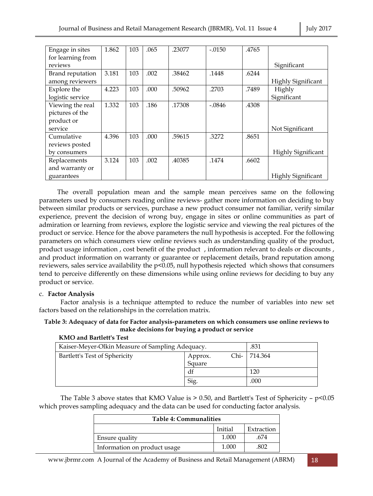| Engage in sites   | 1.862 | 103 | .065 | .23077 | $-.0150$ | .4765 |                           |
|-------------------|-------|-----|------|--------|----------|-------|---------------------------|
| for learning from |       |     |      |        |          |       |                           |
| reviews           |       |     |      |        |          |       | Significant               |
| Brand reputation  | 3.181 | 103 | .002 | .38462 | .1448    | .6244 |                           |
|                   |       |     |      |        |          |       | <b>Highly Significant</b> |
| among reviewers   |       |     |      |        |          |       |                           |
| Explore the       | 4.223 | 103 | .000 | .50962 | .2703    | .7489 | Highly                    |
| logistic service  |       |     |      |        |          |       | Significant               |
| Viewing the real  | 1.332 | 103 | .186 | .17308 | $-.0846$ | .4308 |                           |
| pictures of the   |       |     |      |        |          |       |                           |
| product or        |       |     |      |        |          |       |                           |
| service           |       |     |      |        |          |       | Not Significant           |
| Cumulative        | 4.396 | 103 | .000 | .59615 | .3272    | .8651 |                           |
| reviews posted    |       |     |      |        |          |       |                           |
| by consumers      |       |     |      |        |          |       | <b>Highly Significant</b> |
| Replacements      | 3.124 | 103 | .002 | .40385 | .1474    | .6602 |                           |
| and warranty or   |       |     |      |        |          |       |                           |
| guarantees        |       |     |      |        |          |       | <b>Highly Significant</b> |

 The overall population mean and the sample mean perceives same on the following parameters used by consumers reading online reviews- gather more information on deciding to buy between similar products or services, purchase a new product consumer not familiar, verify similar experience, prevent the decision of wrong buy, engage in sites or online communities as part of admiration or learning from reviews, explore the logistic service and viewing the real pictures of the product or service. Hence for the above parameters the null hypothesis is accepted. For the following parameters on which consumers view online reviews such as understanding quality of the product, product usage information , cost benefit of the product , information relevant to deals or discounts , and product information on warranty or guarantee or replacement details, brand reputation among reviewers, sales service availability the p<0.05, null hypothesis rejected which shows that consumers tend to perceive differently on these dimensions while using online reviews for deciding to buy any product or service.

## c. **Factor Analysis**

 Factor analysis is a technique attempted to reduce the number of variables into new set factors based on the relationships in the correlation matrix.

## **Table 3: Adequacy of data for Factor analysis-parameters on which consumers use online reviews to make decisions for buying a product or service**

## **KMO and Bartlett's Test**

| Kaiser-Meyer-Olkin Measure of Sampling Adequacy. | .831              |      |         |  |  |  |  |
|--------------------------------------------------|-------------------|------|---------|--|--|--|--|
| Bartlett's Test of Sphericity                    | Approx.<br>Square | Chi- | 714.364 |  |  |  |  |
|                                                  | df                |      |         |  |  |  |  |
|                                                  | Sig.              |      | .000    |  |  |  |  |

The Table 3 above states that KMO Value is  $> 0.50$ , and Bartlett's Test of Sphericity –  $p<0.05$ which proves sampling adequacy and the data can be used for conducting factor analysis.

| <b>Table 4: Communalities</b> |       |      |  |  |  |  |
|-------------------------------|-------|------|--|--|--|--|
| Initial<br>Extraction         |       |      |  |  |  |  |
| Ensure quality                | 1.000 | .674 |  |  |  |  |
| Information on product usage  | 1.000 | 802  |  |  |  |  |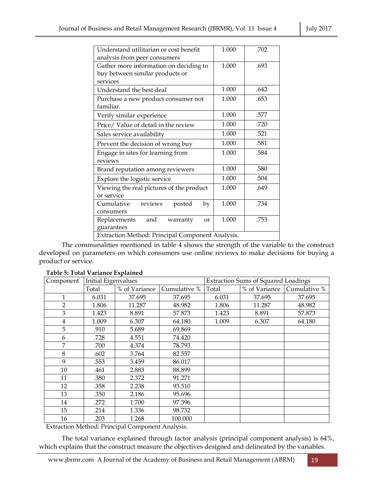|                                                  |       | .702 |  |  |  |  |
|--------------------------------------------------|-------|------|--|--|--|--|
| Understand utilitarian or cost benefit           | 1.000 |      |  |  |  |  |
| analysis from peer consumers                     |       |      |  |  |  |  |
| Gather more information on deciding to           | 1.000 | .693 |  |  |  |  |
| buy between similar products or                  |       |      |  |  |  |  |
| services                                         |       |      |  |  |  |  |
| Understand the best deal                         | 1.000 | .642 |  |  |  |  |
| Purchase a new product consumer not              | 1.000 | .653 |  |  |  |  |
| familiar.                                        |       |      |  |  |  |  |
| Verify similar experience                        | 1.000 | .577 |  |  |  |  |
| Price/ Value of detail in the review             | 1.000 | .720 |  |  |  |  |
| Sales service availability                       | 1.000 | .521 |  |  |  |  |
| Prevent the decision of wrong buy                | 1.000 | .581 |  |  |  |  |
| Engage in sites for learning from                | 1.000 | .584 |  |  |  |  |
| reviews                                          |       |      |  |  |  |  |
| Brand reputation among reviewers                 | 1.000 | .580 |  |  |  |  |
| Explore the logistic service                     | 1.000 | .504 |  |  |  |  |
| Viewing the real pictures of the product         | 1.000 | .649 |  |  |  |  |
| or service                                       |       |      |  |  |  |  |
| reviews<br>Cumulative<br>posted<br>by            | 1.000 | .734 |  |  |  |  |
| consumers                                        |       |      |  |  |  |  |
| and<br>Replacements<br>warranty<br><sub>or</sub> | 1.000 | .753 |  |  |  |  |
| guarantees                                       |       |      |  |  |  |  |
| Extraction Method: Principal Component Analysis. |       |      |  |  |  |  |

The communalities mentioned in table 4 shows the strength of the variable to the construct developed on parameters on which consumers use online reviews to make decisions for buying a product or service.

| Component | Initial Eigenvalues |               |              |       | <b>Extraction Sums of Squared Loadings</b> |              |
|-----------|---------------------|---------------|--------------|-------|--------------------------------------------|--------------|
|           | Total               | % of Variance | Cumulative % | Total | % of Variance                              | Cumulative % |
| 1         | 6.031               | 37.695        | 37.695       | 6.031 | 37.695                                     | 37.695       |
| 2         | 1.806               | 11.287        | 48.982       | 1.806 | 11.287                                     | 48.982       |
| 3         | 1.423               | 8.891         | 57.873       | 1.423 | 8.891                                      | 57.873       |
| 4         | 1.009               | 6.307         | 64.180       | 1.009 | 6.307                                      | 64.180       |
| 5         | .910                | 5.689         | 69.869       |       |                                            |              |
| 6         | .728                | 4.551         | 74.420       |       |                                            |              |
| 7         | .700                | 4.374         | 78.793       |       |                                            |              |
| 8         | .602                | 3.764         | 82.557       |       |                                            |              |
| 9         | .553                | 3.459         | 86.017       |       |                                            |              |
| 10        | .461                | 2.883         | 88.899       |       |                                            |              |
| 11        | .380                | 2.372         | 91.271       |       |                                            |              |
| 12        | .358                | 2.238         | 93.510       |       |                                            |              |
| 13        | .350                | 2.186         | 95.696       |       |                                            |              |
| 14        | .272                | 1.700         | 97.396       |       |                                            |              |
| 15        | .214                | 1.336         | 98.732       |       |                                            |              |
| 16        | .203                | 1.268         | 100.000      |       |                                            |              |

Extraction Method: Principal Component Analysis.

 The total variance explained through factor analysis (principal component analysis) is 64%, which explains that the construct measure the objectives designed and delineated by the variables.

www.jbrmr.com A Journal of the Academy of Business and Retail Management (ABRM) 19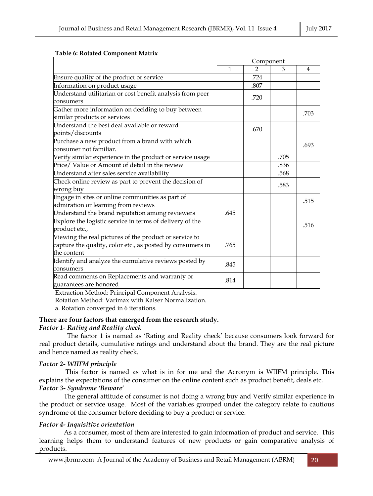|                                                            | Component    |               |      |                |
|------------------------------------------------------------|--------------|---------------|------|----------------|
|                                                            | $\mathbf{1}$ | $\mathcal{P}$ | 3    | $\overline{4}$ |
| Ensure quality of the product or service                   |              | .724          |      |                |
| Information on product usage                               |              | .807          |      |                |
| Understand utilitarian or cost benefit analysis from peer  |              | .720          |      |                |
| consumers                                                  |              |               |      |                |
| Gather more information on deciding to buy between         |              |               |      | .703           |
| similar products or services                               |              |               |      |                |
| Understand the best deal available or reward               |              | .670          |      |                |
| points/discounts                                           |              |               |      |                |
| Purchase a new product from a brand with which             |              |               |      | .693           |
| consumer not familiar.                                     |              |               |      |                |
| Verify similar experience in the product or service usage  |              |               | .705 |                |
| Price/ Value or Amount of detail in the review             |              |               | .836 |                |
| Understand after sales service availability                |              |               | .568 |                |
| Check online review as part to prevent the decision of     |              |               | .583 |                |
| wrong buy                                                  |              |               |      |                |
| Engage in sites or online communities as part of           |              |               |      | .515           |
| admiration or learning from reviews                        |              |               |      |                |
| Understand the brand reputation among reviewers            | .645         |               |      |                |
| Explore the logistic service in terms of delivery of the   |              |               |      | .516           |
| product etc.,                                              |              |               |      |                |
| Viewing the real pictures of the product or service to     |              |               |      |                |
| capture the quality, color etc., as posted by consumers in | .765         |               |      |                |
| the content                                                |              |               |      |                |
| Identify and analyze the cumulative reviews posted by      | .845         |               |      |                |
| consumers                                                  |              |               |      |                |
| Read comments on Replacements and warranty or              | .814         |               |      |                |
| guarantees are honored                                     |              |               |      |                |

## **Table 6: Rotated Component Matrix**

Extraction Method: Principal Component Analysis.

Rotation Method: Varimax with Kaiser Normalization.

a. Rotation converged in 6 iterations.

# **There are four factors that emerged from the research study.**

## *Factor 1- Rating and Reality check*

 The factor 1 is named as 'Rating and Reality check' because consumers look forward for real product details, cumulative ratings and understand about the brand. They are the real picture and hence named as reality check.

# *Factor 2- WIIFM principle*

 This factor is named as what is in for me and the Acronym is WIIFM principle. This explains the expectations of the consumer on the online content such as product benefit, deals etc. *Factor 3- Syndrome 'Beware'* 

 The general attitude of consumer is not doing a wrong buy and Verify similar experience in the product or service usage. Most of the variables grouped under the category relate to cautious syndrome of the consumer before deciding to buy a product or service.

# *Factor 4- Inquisitive orientation*

 As a consumer, most of them are interested to gain information of product and service. This learning helps them to understand features of new products or gain comparative analysis of products.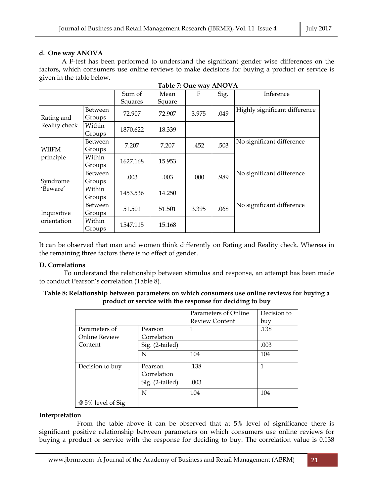# **d. One way ANOVA**

 A F-test has been performed to understand the significant gender wise differences on the factors**,** which consumers use online reviews to make decisions for buying a product or service is given in the table below.

|                            |                          | Sum of<br>Squares | Mean<br>Square | $\mathbf{F}$ | Sig. | Inference                     |
|----------------------------|--------------------------|-------------------|----------------|--------------|------|-------------------------------|
| Rating and                 | <b>Between</b><br>Groups | 72.907            | 72.907         | 3.975        | .049 | Highly significant difference |
| Reality check              | Within<br>Groups         | 1870.622          | 18.339         |              |      |                               |
| WIIFM<br>principle         | Between<br>Groups        | 7.207             | 7.207          | .452         | .503 | No significant difference     |
|                            | Within<br>Groups         | 1627.168          | 15.953         |              |      |                               |
| Syndrome<br>'Beware'       | <b>Between</b><br>Groups | .003              | .003           | .000         | .989 | No significant difference     |
|                            | Within<br>Groups         | 1453.536          | 14.250         |              |      |                               |
| Inquisitive<br>orientation | <b>Between</b><br>Groups | 51.501            | 51.501         | 3.395        | .068 | No significant difference     |
|                            | Within<br>Groups         | 1547.115          | 15.168         |              |      |                               |

**Table 7: One way ANOVA** 

It can be observed that man and women think differently on Rating and Reality check. Whereas in the remaining three factors there is no effect of gender.

# **D. Correlations**

 To understand the relationship between stimulus and response, an attempt has been made to conduct Pearson's correlation (Table 8).

## **Table 8: Relationship between parameters on which consumers use online reviews for buying a product or service with the response for deciding to buy**

|                   |                 | Parameters of Online  | Decision to |
|-------------------|-----------------|-----------------------|-------------|
|                   |                 | <b>Review Content</b> | buy         |
| Parameters of     | Pearson         | 1                     | .138        |
| Online Review     | Correlation     |                       |             |
| Content           | Sig. (2-tailed) |                       | .003        |
|                   | N               | 104                   | 104         |
| Decision to buy   | Pearson         | .138                  | 1           |
|                   | Correlation     |                       |             |
|                   | Sig. (2-tailed) | .003                  |             |
|                   | N               | 104                   | 104         |
| @ 5% level of Sig |                 |                       |             |

# **Interpretation**

 From the table above it can be observed that at 5% level of significance there is significant positive relationship between parameters on which consumers use online reviews for buying a product or service with the response for deciding to buy. The correlation value is 0.138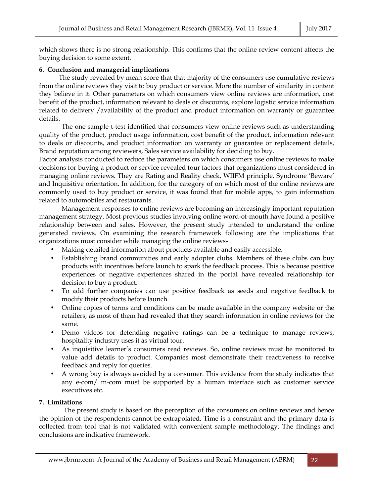which shows there is no strong relationship. This confirms that the online review content affects the buying decision to some extent.

## **6. Conclusion and managerial implications**

 The study revealed by mean score that that majority of the consumers use cumulative reviews from the online reviews they visit to buy product or service. More the number of similarity in content they believe in it. Other parameters on which consumers view online reviews are information, cost benefit of the product, information relevant to deals or discounts, explore logistic service information related to delivery /availability of the product and product information on warranty or guarantee details.

 The one sample t-test identified that consumers view online reviews such as understanding quality of the product, product usage information, cost benefit of the product, information relevant to deals or discounts, and product information on warranty or guarantee or replacement details, Brand reputation among reviewers, Sales service availability for deciding to buy.

Factor analysis conducted to reduce the parameters on which consumers use online reviews to make decisions for buying a product or service revealed four factors that organizations must considered in managing online reviews. They are Rating and Reality check, WIIFM principle, Syndrome 'Beware' and Inquisitive orientation. In addition, for the category of on which most of the online reviews are commonly used to buy product or service, it was found that for mobile apps, to gain information related to automobiles and restaurants.

 Management responses to online reviews are becoming an increasingly important reputation management strategy. Most previous studies involving online word-of-mouth have found a positive relationship between and sales. However, the present study intended to understand the online generated reviews. On examining the research framework following are the implications that organizations must consider while managing the online reviews-

- Making detailed information about products available and easily accessible.
- Establishing brand communities and early adopter clubs. Members of these clubs can buy products with incentives before launch to spark the feedback process. This is because positive experiences or negative experiences shared in the portal have revealed relationship for decision to buy a product.
- To add further companies can use positive feedback as seeds and negative feedback to modify their products before launch.
- Online copies of terms and conditions can be made available in the company website or the retailers, as most of them had revealed that they search information in online reviews for the same.
- Demo videos for defending negative ratings can be a technique to manage reviews, hospitality industry uses it as virtual tour.
- As inquisitive learner's consumers read reviews. So, online reviews must be monitored to value add details to product. Companies most demonstrate their reactiveness to receive feedback and reply for queries.
- A wrong buy is always avoided by a consumer. This evidence from the study indicates that any e-com/ m-com must be supported by a human interface such as customer service executives etc.

# **7. Limitations**

 The present study is based on the perception of the consumers on online reviews and hence the opinion of the respondents cannot be extrapolated. Time is a constraint and the primary data is collected from tool that is not validated with convenient sample methodology. The findings and conclusions are indicative framework.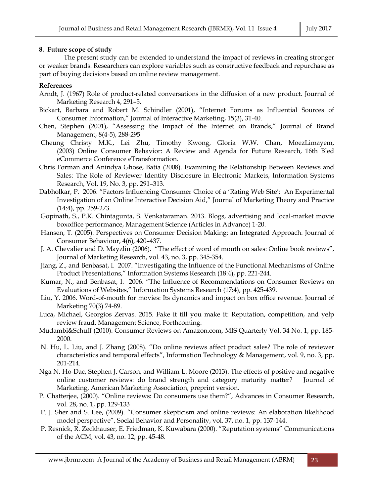## **8. Future scope of study**

 The present study can be extended to understand the impact of reviews in creating stronger or weaker brands. Researchers can explore variables such as constructive feedback and repurchase as part of buying decisions based on online review management.

# **References**

- Arndt, J. (1967) Role of product-related conversations in the diffusion of a new product. Journal of Marketing Research 4, 291–5.
- Bickart, Barbara and Robert M. Schindler (2001), "Internet Forums as Influential Sources of Consumer Information," Journal of Interactive Marketing, 15(3), 31-40.
- Chen, Stephen (2001), "Assessing the Impact of the Internet on Brands," Journal of Brand Management, 8(4-5), 288-295
- Cheung Christy M.K., Lei Zhu, Timothy Kwong, Gloria W.W. Chan, MoezLimayem, (2003) Online Consumer Behavior: A Review and Agenda for Future Research, 16th Bled eCommerce Conference eTransformation.
- Chris Forman and Anindya Ghose, Batia (2008). Examining the Relationship Between Reviews and Sales: The Role of Reviewer Identity Disclosure in Electronic Markets, Information Systems Research, Vol. 19, No. 3, pp. 291–313.
- Dabholkar, P. 2006. "Factors Influencing Consumer Choice of a 'Rating Web Site': An Experimental Investigation of an Online Interactive Decision Aid," Journal of Marketing Theory and Practice (14:4), pp. 259-273.
- Gopinath, S., P.K. Chintagunta, S. Venkataraman. 2013. Blogs, advertising and local-market movie boxoffice performance, Management Science (Articles in Advance) 1-20.
- Hansen, T. (2005). Perspectives on Consumer Decision Making: an Integrated Approach. Journal of Consumer Behaviour, 4(6), 420–437.
- J. A. Chevalier and D. Mayzlin (2006). "The effect of word of mouth on sales: Online book reviews", Journal of Marketing Research, vol. 43, no. 3, pp. 345-354.
- Jiang, Z., and Benbasat, I. 2007. "Investigating the Influence of the Functional Mechanisms of Online Product Presentations," Information Systems Research (18:4), pp. 221-244.
- Kumar, N., and Benbasat, I. 2006. "The Influence of Recommendations on Consumer Reviews on Evaluations of Websites," Information Systems Research (17:4), pp. 425-439.
- Liu, Y. 2006. Word-of-mouth for movies: Its dynamics and impact on box office revenue. Journal of Marketing 70(3) 74-89.
- Luca, Michael, Georgios Zervas. 2015. Fake it till you make it: Reputation, competition, and yelp review fraud. Management Science, Forthcoming.
- Mudambi&Schuff (2010). Consumer Reviews on Amazon.com, MIS Quarterly Vol. 34 No. 1, pp. 185- 2000.
- N. Hu, L. Liu, and J. Zhang (2008). "Do online reviews affect product sales? The role of reviewer characteristics and temporal effects", Information Technology & Management, vol. 9, no. 3, pp. 201-214.
- Nga N. Ho-Dac, Stephen J. Carson, and William L. Moore (2013). The effects of positive and negative online customer reviews: do brand strength and category maturity matter? Journal of Marketing, American Marketing Association, preprint version.
- P. Chatterjee, (2000). "Online reviews: Do consumers use them?", Advances in Consumer Research, vol. 28, no. 1, pp. 129-133
- P. J. Sher and S. Lee, (2009). "Consumer skepticism and online reviews: An elaboration likelihood model perspective", Social Behavior and Personality, vol. 37, no. 1, pp. 137-144.
- P. Resnick, R. Zeckhauser, E. Friedman, K. Kuwabara (2000). "Reputation systems" Communications of the ACM, vol. 43, no. 12, pp. 45-48.